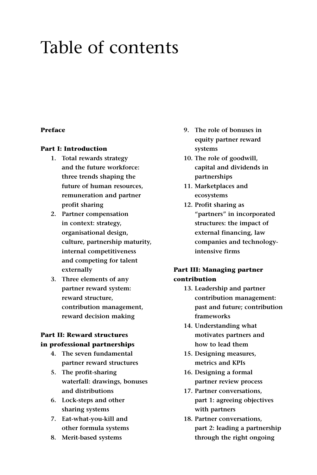# Table of contents

## **Preface**

### **Part I: Introduction**

- **1. Total rewards strategy and the future workforce: three trends shaping the future of human resources, remuneration and partner profit sharing**
- **2. Partner compensation in context: strategy, organisational design, culture, partnership maturity, internal competitiveness and competing for talent externally**
- **3. Three elements of any partner reward system: reward structure, contribution management, reward decision making**

# **Part II: Reward structures**

# **in professional partnerships**

- **4. The seven fundamental partner reward structures**
- **5. The profit-sharing waterfall: drawings, bonuses and distributions**
- **6. Lock-steps and other sharing systems**
- **7. Eat-what-you-kill and other formula systems**
- **8. Merit-based systems**
- **9. The role of bonuses in equity partner reward systems**
- **10. The role of goodwill, capital and dividends in partnerships**
- **11. Marketplaces and ecosystems**
- **12. Profit sharing as "partners" in incorporated structures: the impact of external financing, law companies and technologyintensive firms**

# **Part III: Managing partner contribution**

- **13. Leadership and partner contribution management: past and future; contribution frameworks**
- **14. Understanding what motivates partners and how to lead them**
- **15. Designing measures, metrics and KPIs**
- **16. Designing a formal partner review process**
- **17. Partner conversations, part 1: agreeing objectives with partners**
- **18. Partner conversations, part 2: leading a partnership through the right ongoing**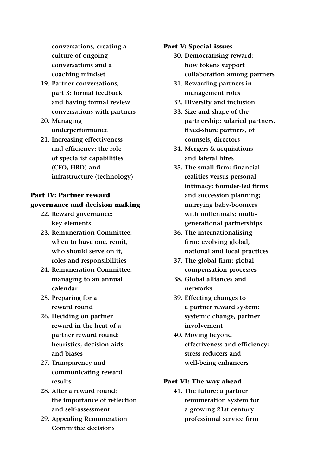**conversations, creating a culture of ongoing conversations and a coaching mindset**

- **19. Partner conversations, part 3: formal feedback and having formal review conversations with partners**
- **20. Managing underperformance**
- **21. Increasing effectiveness and efficiency: the role of specialist capabilities (CFO, HRD) and infrastructure (technology)**

# **Part IV: Partner reward governance and decision making**

- **22. Reward governance: key elements**
- **23. Remuneration Committee: when to have one, remit, who should serve on it, roles and responsibilities**
- **24. Remuneration Committee: managing to an annual calendar**
- **25. Preparing for a reward round**
- **26. Deciding on partner reward in the heat of a partner reward round: heuristics, decision aids and biases**
- **27. Transparency and communicating reward results**
- **28. After a reward round: the importance of reflection and self-assessment**
- **29. Appealing Remuneration Committee decisions**

### **Part V: Special issues**

- **30. Democratising reward: how tokens support collaboration among partners**
- **31. Rewarding partners in management roles**
- **32. Diversity and inclusion**
- **33. Size and shape of the partnership: salaried partners, fixed-share partners, of counsels, directors**
- **34. Mergers & acquisitions and lateral hires**
- **35. The small firm: financial realities versus personal intimacy; founder-led firms and succession planning; marrying baby-boomers with millennials; multigenerational partnerships**
- **36. The internationalising firm: evolving global, national and local practices**
- **37. The global firm: global compensation processes**
- **38. Global alliances and networks**
- **39. Effecting changes to a partner reward system: systemic change, partner involvement**
- **40. Moving beyond effectiveness and efficiency: stress reducers and well-being enhancers**

#### **Part VI: The way ahead**

**41. The future: a partner remuneration system for a growing 21st century professional service firm**